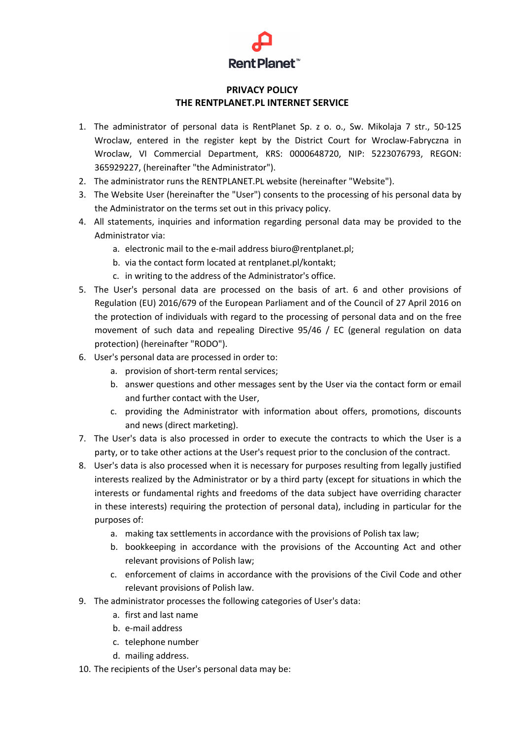## **Rent Planet**™

## **PRIVACY POLICY THE RENTPLANET.PL INTERNET SERVICE**

- 1. The administrator of personal data is RentPlanet Sp. z o. o., Sw. Mikolaja 7 str., 50-125 Wroclaw, entered in the register kept by the District Court for Wroclaw-Fabryczna in Wroclaw, VI Commercial Department, KRS: 0000648720, NIP: 5223076793, REGON: 365929227, (hereinafter "the Administrator").
- 2. The administrator runs the RENTPLANET.PL website (hereinafter "Website").
- 3. The Website User (hereinafter the "User") consents to the processing of his personal data by the Administrator on the terms set out in this privacy policy.
- 4. All statements, inquiries and information regarding personal data may be provided to the Administrator via:
	- a. electronic mail to the e-mail address biuro@rentplanet.pl;
	- b. via the contact form located at rentplanet.pl/kontakt;
	- c. in writing to the address of the Administrator's office.
- 5. The User's personal data are processed on the basis of art. 6 and other provisions of Regulation (EU) 2016/679 of the European Parliament and of the Council of 27 April 2016 on the protection of individuals with regard to the processing of personal data and on the free movement of such data and repealing Directive 95/46 / EC (general regulation on data protection) (hereinafter "RODO").
- 6. User's personal data are processed in order to:
	- a. provision of short-term rental services;
	- b. answer questions and other messages sent by the User via the contact form or email and further contact with the User,
	- c. providing the Administrator with information about offers, promotions, discounts and news (direct marketing).
- 7. The User's data is also processed in order to execute the contracts to which the User is a party, or to take other actions at the User's request prior to the conclusion of the contract.
- 8. User's data is also processed when it is necessary for purposes resulting from legally justified interests realized by the Administrator or by a third party (except for situations in which the interests or fundamental rights and freedoms of the data subject have overriding character in these interests) requiring the protection of personal data), including in particular for the purposes of:
	- a. making tax settlements in accordance with the provisions of Polish tax law;
	- b. bookkeeping in accordance with the provisions of the Accounting Act and other relevant provisions of Polish law;
	- c. enforcement of claims in accordance with the provisions of the Civil Code and other relevant provisions of Polish law.
- 9. The administrator processes the following categories of User's data:
	- a. first and last name
	- b. e-mail address
	- c. telephone number
	- d. mailing address.
- 10. The recipients of the User's personal data may be: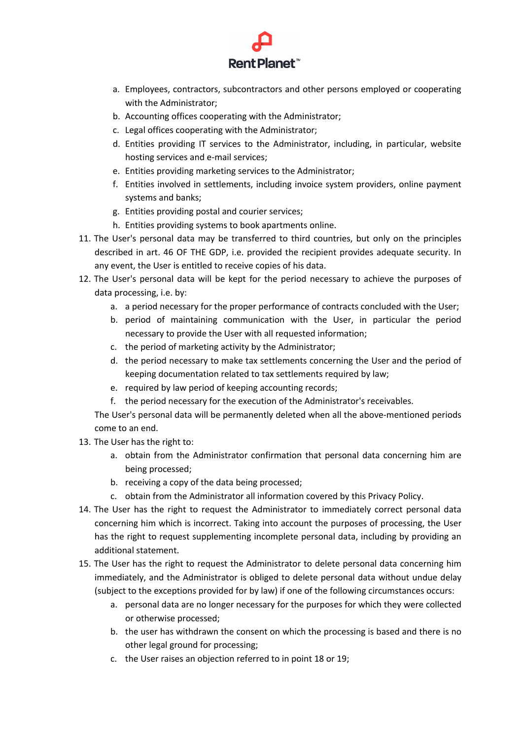

- a. Employees, contractors, subcontractors and other persons employed or cooperating with the Administrator;
- b. Accounting offices cooperating with the Administrator;
- c. Legal offices cooperating with the Administrator;
- d. Entities providing IT services to the Administrator, including, in particular, website hosting services and e-mail services;
- e. Entities providing marketing services to the Administrator;
- f. Entities involved in settlements, including invoice system providers, online payment systems and banks;
- g. Entities providing postal and courier services;
- h. Entities providing systems to book apartments online.
- 11. The User's personal data may be transferred to third countries, but only on the principles described in art. 46 OF THE GDP, i.e. provided the recipient provides adequate security. In any event, the User is entitled to receive copies of his data.
- 12. The User's personal data will be kept for the period necessary to achieve the purposes of data processing, i.e. by:
	- a. a period necessary for the proper performance of contracts concluded with the User;
	- b. period of maintaining communication with the User, in particular the period necessary to provide the User with all requested information;
	- c. the period of marketing activity by the Administrator;
	- d. the period necessary to make tax settlements concerning the User and the period of keeping documentation related to tax settlements required by law;
	- e. required by law period of keeping accounting records;
	- f. the period necessary for the execution of the Administrator's receivables.

The User's personal data will be permanently deleted when all the above-mentioned periods come to an end.

- 13. The User has the right to:
	- a. obtain from the Administrator confirmation that personal data concerning him are being processed;
	- b. receiving a copy of the data being processed;
	- c. obtain from the Administrator all information covered by this Privacy Policy.
- 14. The User has the right to request the Administrator to immediately correct personal data concerning him which is incorrect. Taking into account the purposes of processing, the User has the right to request supplementing incomplete personal data, including by providing an additional statement.
- 15. The User has the right to request the Administrator to delete personal data concerning him immediately, and the Administrator is obliged to delete personal data without undue delay (subject to the exceptions provided for by law) if one of the following circumstances occurs:
	- a. personal data are no longer necessary for the purposes for which they were collected or otherwise processed;
	- b. the user has withdrawn the consent on which the processing is based and there is no other legal ground for processing;
	- c. the User raises an objection referred to in point 18 or 19;